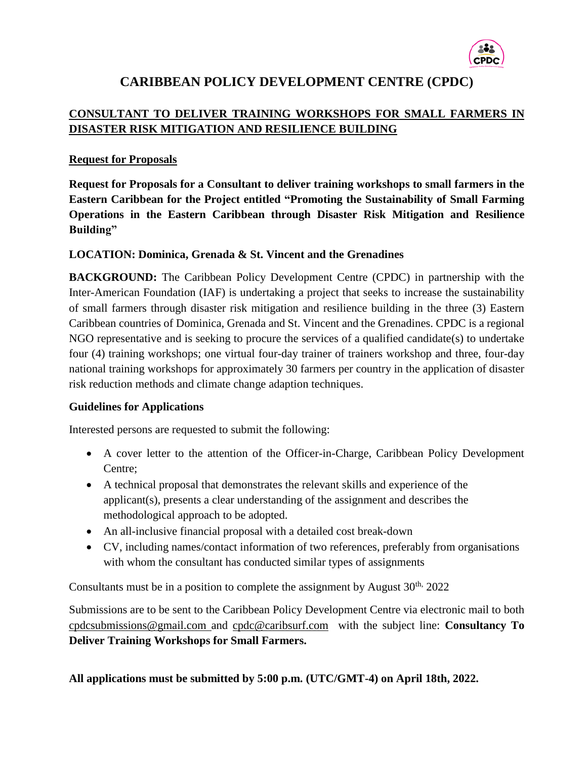

# **CARIBBEAN POLICY DEVELOPMENT CENTRE (CPDC)**

# **CONSULTANT TO DELIVER TRAINING WORKSHOPS FOR SMALL FARMERS IN DISASTER RISK MITIGATION AND RESILIENCE BUILDING**

## **Request for Proposals**

**Request for Proposals for a Consultant to deliver training workshops to small farmers in the Eastern Caribbean for the Project entitled "Promoting the Sustainability of Small Farming Operations in the Eastern Caribbean through Disaster Risk Mitigation and Resilience Building"**

#### **LOCATION: Dominica, Grenada & St. Vincent and the Grenadines**

**BACKGROUND:** The Caribbean Policy Development Centre (CPDC) in partnership with the Inter-American Foundation (IAF) is undertaking a project that seeks to increase the sustainability of small farmers through disaster risk mitigation and resilience building in the three (3) Eastern Caribbean countries of Dominica, Grenada and St. Vincent and the Grenadines. CPDC is a regional NGO representative and is seeking to procure the services of a qualified candidate(s) to undertake four (4) training workshops; one virtual four-day trainer of trainers workshop and three, four-day national training workshops for approximately 30 farmers per country in the application of disaster risk reduction methods and climate change adaption techniques.

#### **Guidelines for Applications**

Interested persons are requested to submit the following:

- A cover letter to the attention of the Officer-in-Charge, Caribbean Policy Development Centre;
- A technical proposal that demonstrates the relevant skills and experience of the applicant(s), presents a clear understanding of the assignment and describes the methodological approach to be adopted.
- An all-inclusive financial proposal with a detailed cost break-down
- CV, including names/contact information of two references, preferably from organisations with whom the consultant has conducted similar types of assignments

Consultants must be in a position to complete the assignment by August  $30<sup>th</sup>$ ,  $2022$ 

Submissions are to be sent to the Caribbean Policy Development Centre via electronic mail to both [cpdcsubmissions@gmail.com a](mailto:cpdcsubmissions@gmail.com%20/)nd [cpdc@caribsurf.com](mailto:cpdc@caribsurf.com) with the subject line: **Consultancy To Deliver Training Workshops for Small Farmers.**

**All applications must be submitted by 5:00 p.m. (UTC/GMT-4) on April 18th, 2022.**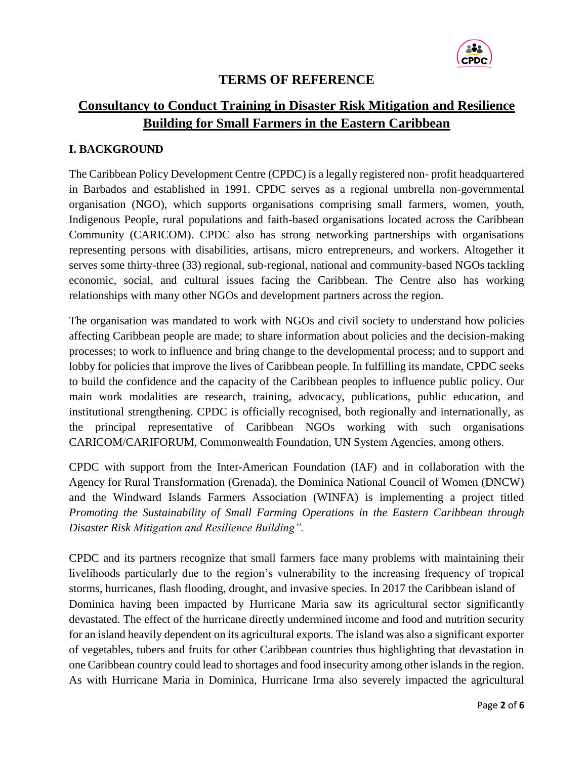

# **TERMS OF REFERENCE**

# **Consultancy to Conduct Training in Disaster Risk Mitigation and Resilience Building for Small Farmers in the Eastern Caribbean**

#### **I. BACKGROUND**

The Caribbean Policy Development Centre (CPDC) is a legally registered non- profit headquartered in Barbados and established in 1991. CPDC serves as a regional umbrella non-governmental organisation (NGO), which supports organisations comprising small farmers, women, youth, Indigenous People, rural populations and faith-based organisations located across the Caribbean Community (CARICOM). CPDC also has strong networking partnerships with organisations representing persons with disabilities, artisans, micro entrepreneurs, and workers. Altogether it serves some thirty-three (33) regional, sub-regional, national and community-based NGOs tackling economic, social, and cultural issues facing the Caribbean. The Centre also has working relationships with many other NGOs and development partners across the region.

The organisation was mandated to work with NGOs and civil society to understand how policies affecting Caribbean people are made; to share information about policies and the decision-making processes; to work to influence and bring change to the developmental process; and to support and lobby for policies that improve the lives of Caribbean people. In fulfilling its mandate, CPDC seeks to build the confidence and the capacity of the Caribbean peoples to influence public policy. Our main work modalities are research, training, advocacy, publications, public education, and institutional strengthening. CPDC is officially recognised, both regionally and internationally, as the principal representative of Caribbean NGOs working with such organisations CARICOM/CARIFORUM, Commonwealth Foundation, UN System Agencies, among others.

CPDC with support from the Inter-American Foundation (IAF) and in collaboration with the Agency for Rural Transformation (Grenada), the Dominica National Council of Women (DNCW) and the Windward Islands Farmers Association (WINFA) is implementing a project titled *Promoting the Sustainability of Small Farming Operations in the Eastern Caribbean through Disaster Risk Mitigation and Resilience Building".* 

CPDC and its partners recognize that small farmers face many problems with maintaining their livelihoods particularly due to the region's vulnerability to the increasing frequency of tropical storms, hurricanes, flash flooding, drought, and invasive species. In 2017 the Caribbean island of Dominica having been impacted by Hurricane Maria saw its agricultural sector significantly devastated. The effect of the hurricane directly undermined income and food and nutrition security for an island heavily dependent on its agricultural exports. The island was also a significant exporter of vegetables, tubers and fruits for other Caribbean countries thus highlighting that devastation in one Caribbean country could lead to shortages and food insecurity among other islands in the region. As with Hurricane Maria in Dominica, Hurricane Irma also severely impacted the agricultural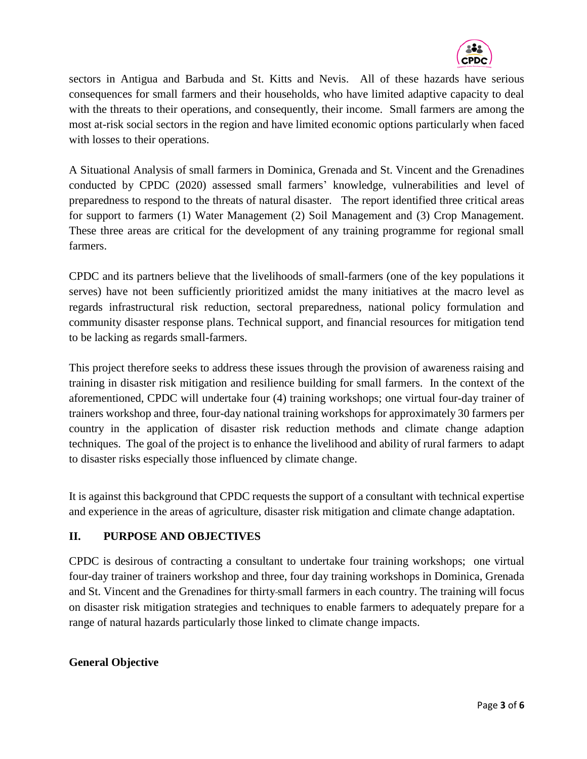

sectors in Antigua and Barbuda and St. Kitts and Nevis. All of these hazards have serious consequences for small farmers and their households, who have limited adaptive capacity to deal with the threats to their operations, and consequently, their income. Small farmers are among the most at-risk social sectors in the region and have limited economic options particularly when faced with losses to their operations.

A Situational Analysis of small farmers in Dominica, Grenada and St. Vincent and the Grenadines conducted by CPDC (2020) assessed small farmers' knowledge, vulnerabilities and level of preparedness to respond to the threats of natural disaster. The report identified three critical areas for support to farmers (1) Water Management (2) Soil Management and (3) Crop Management. These three areas are critical for the development of any training programme for regional small farmers.

CPDC and its partners believe that the livelihoods of small-farmers (one of the key populations it serves) have not been sufficiently prioritized amidst the many initiatives at the macro level as regards infrastructural risk reduction, sectoral preparedness, national policy formulation and community disaster response plans. Technical support, and financial resources for mitigation tend to be lacking as regards small-farmers.

This project therefore seeks to address these issues through the provision of awareness raising and training in disaster risk mitigation and resilience building for small farmers. In the context of the aforementioned, CPDC will undertake four (4) training workshops; one virtual four-day trainer of trainers workshop and three, four-day national training workshops for approximately 30 farmers per country in the application of disaster risk reduction methods and climate change adaption techniques. The goal of the project is to enhance the livelihood and ability of rural farmers to adapt to disaster risks especially those influenced by climate change.

It is against this background that CPDC requests the support of a consultant with technical expertise and experience in the areas of agriculture, disaster risk mitigation and climate change adaptation.

# **II. PURPOSE AND OBJECTIVES**

CPDC is desirous of contracting a consultant to undertake four training workshops; one virtual four-day trainer of trainers workshop and three, four day training workshops in Dominica, Grenada and St. Vincent and the Grenadines for thirty small farmers in each country. The training will focus on disaster risk mitigation strategies and techniques to enable farmers to adequately prepare for a range of natural hazards particularly those linked to climate change impacts.

#### **General Objective**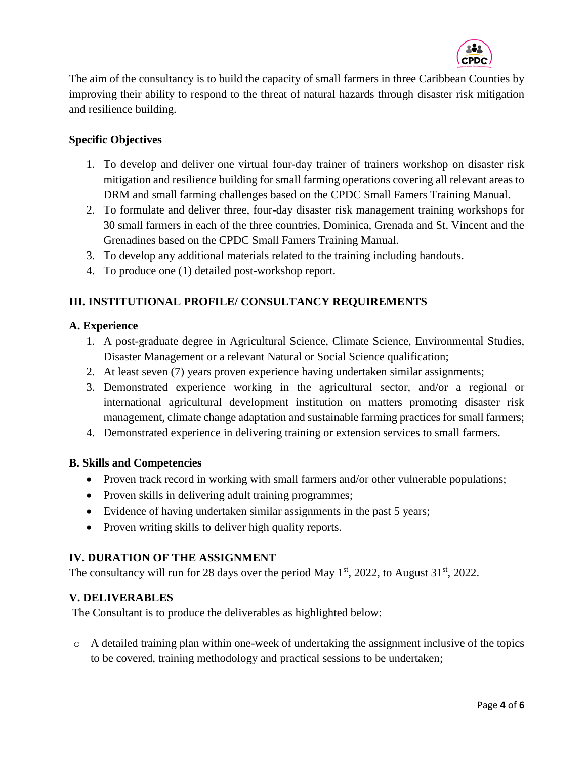

The aim of the consultancy is to build the capacity of small farmers in three Caribbean Counties by improving their ability to respond to the threat of natural hazards through disaster risk mitigation and resilience building.

## **Specific Objectives**

- 1. To develop and deliver one virtual four-day trainer of trainers workshop on disaster risk mitigation and resilience building for small farming operations covering all relevant areas to DRM and small farming challenges based on the CPDC Small Famers Training Manual.
- 2. To formulate and deliver three, four-day disaster risk management training workshops for 30 small farmers in each of the three countries, Dominica, Grenada and St. Vincent and the Grenadines based on the CPDC Small Famers Training Manual.
- 3. To develop any additional materials related to the training including handouts.
- 4. To produce one (1) detailed post-workshop report.

## **III. INSTITUTIONAL PROFILE/ CONSULTANCY REQUIREMENTS**

#### **A. Experience**

- 1. A post-graduate degree in Agricultural Science, Climate Science, Environmental Studies, Disaster Management or a relevant Natural or Social Science qualification;
- 2. At least seven (7) years proven experience having undertaken similar assignments;
- 3. Demonstrated experience working in the agricultural sector, and/or a regional or international agricultural development institution on matters promoting disaster risk management, climate change adaptation and sustainable farming practices for small farmers;
- 4. Demonstrated experience in delivering training or extension services to small farmers.

#### **B. Skills and Competencies**

- Proven track record in working with small farmers and/or other vulnerable populations;
- Proven skills in delivering adult training programmes;
- Evidence of having undertaken similar assignments in the past 5 years;
- Proven writing skills to deliver high quality reports.

#### **IV. DURATION OF THE ASSIGNMENT**

The consultancy will run for 28 days over the period May  $1<sup>st</sup>$ , 2022, to August 31 $<sup>st</sup>$ , 2022.</sup>

#### **V. DELIVERABLES**

The Consultant is to produce the deliverables as highlighted below:

o A detailed training plan within one-week of undertaking the assignment inclusive of the topics to be covered, training methodology and practical sessions to be undertaken;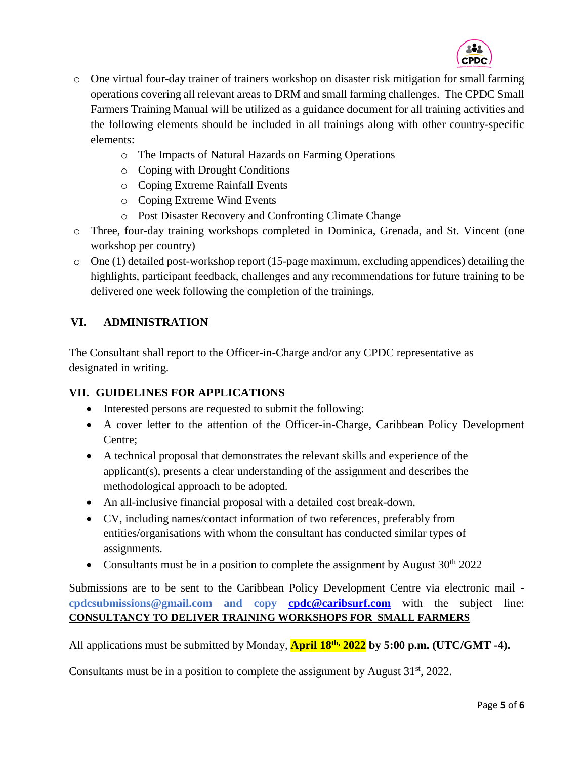

- o One virtual four-day trainer of trainers workshop on disaster risk mitigation for small farming operations covering all relevant areas to DRM and small farming challenges. The CPDC Small Farmers Training Manual will be utilized as a guidance document for all training activities and the following elements should be included in all trainings along with other country-specific elements:
	- o The Impacts of Natural Hazards on Farming Operations
	- o Coping with Drought Conditions
	- o Coping Extreme Rainfall Events
	- o Coping Extreme Wind Events
	- o Post Disaster Recovery and Confronting Climate Change
- o Three, four-day training workshops completed in Dominica, Grenada, and St. Vincent (one workshop per country)
- o One (1) detailed post-workshop report (15-page maximum, excluding appendices) detailing the highlights, participant feedback, challenges and any recommendations for future training to be delivered one week following the completion of the trainings.

# **VI. ADMINISTRATION**

The Consultant shall report to the Officer-in-Charge and/or any CPDC representative as designated in writing.

# **VII. GUIDELINES FOR APPLICATIONS**

- Interested persons are requested to submit the following:
- A cover letter to the attention of the Officer-in-Charge, Caribbean Policy Development Centre;
- A technical proposal that demonstrates the relevant skills and experience of the applicant(s), presents a clear understanding of the assignment and describes the methodological approach to be adopted.
- An all-inclusive financial proposal with a detailed cost break-down.
- CV, including names/contact information of two references, preferably from entities/organisations with whom the consultant has conducted similar types of assignments.
- Consultants must be in a position to complete the assignment by August  $30<sup>th</sup> 2022$

Submissions are to be sent to the Caribbean Policy Development Centre via electronic mail **cpdcsubmissions@gmail.com and copy [cpdc@caribsurf.com](mailto:cpdc@caribsurf.com)** with the subject line: **CONSULTANCY TO DELIVER TRAINING WORKSHOPS FOR SMALL FARMERS** 

All applications must be submitted by Monday, **April 18 th, 2022 by 5:00 p.m. (UTC/GMT -4).**

Consultants must be in a position to complete the assignment by August  $31<sup>st</sup>$ , 2022.